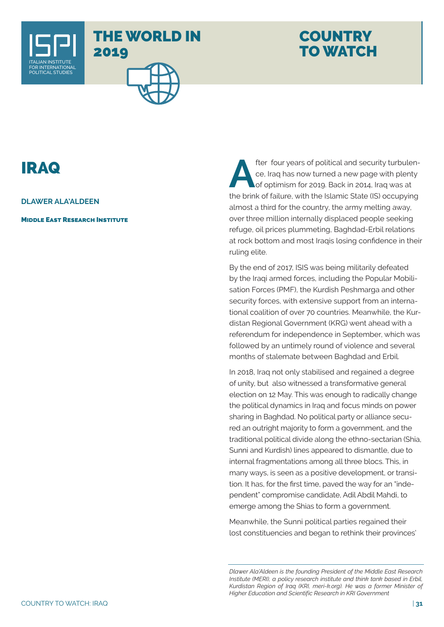

## THE WORLD IN 2019

## **COUNTRY** TO WATCH

## IRAQ

**DLAWER ALA'ALDEEN**

**MIDDLE EAST RESEARCH INSTITUTE** 

**After four years of political and security turbulence, Iraq has now turned a new page with plenty of optimism for 2019. Back in 2014, Iraq was at the bright of failure with the Islamic Citate (IS) assume time** ce, Iraq has now turned a new page with plenty of optimism for 2019. Back in 2014, Iraq was at the brink of failure, with the Islamic State (IS) occupying almost a third for the country, the army melting away, over three million internally displaced people seeking refuge, oil prices plummeting, Baghdad-Erbil relations at rock bottom and most Iraqis losing confidence in their ruling elite.

By the end of 2017, ISIS was being militarily defeated by the Iraqi armed forces, including the Popular Mobilisation Forces (PMF), the Kurdish Peshmarga and other security forces, with extensive support from an international coalition of over 70 countries. Meanwhile, the Kurdistan Regional Government (KRG) went ahead with a referendum for independence in September, which was followed by an untimely round of violence and several months of stalemate between Baghdad and Erbil.

In 2018, Iraq not only stabilised and regained a degree of unity, but also witnessed a transformative general election on 12 May. This was enough to radically change the political dynamics in Iraq and focus minds on power sharing in Baghdad. No political party or alliance secured an outright majority to form a government, and the traditional political divide along the ethno-sectarian (Shia, Sunni and Kurdish) lines appeared to dismantle, due to internal fragmentations among all three blocs. This, in many ways, is seen as a positive development, or transition. It has, for the first time, paved the way for an "independent" compromise candidate, Adil Abdil Mahdi, to emerge among the Shias to form a government.

Meanwhile, the Sunni political parties regained their lost constituencies and began to rethink their provinces'

*Dlawer Ala'Aldeen is the founding President of the Middle East Research Institute (MERI), a policy research institute and think tank based in Erbil, Kurdistan Region of Iraq (KRI, meri-k.org). He was a former Minister of Higher Education and Scientific Research in KRI Government*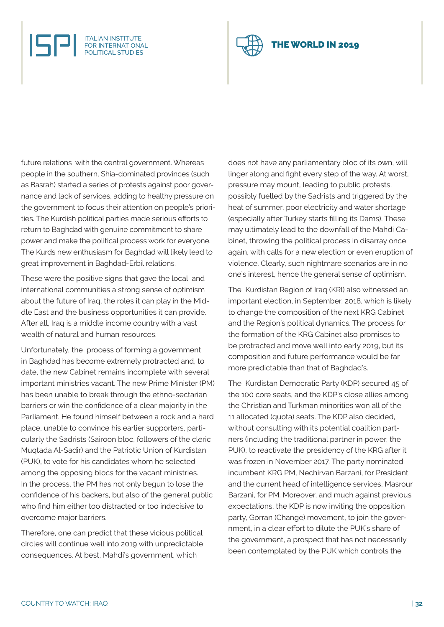future relations with the central government. Whereas people in the southern, Shia-dominated provinces (such as Basrah) started a series of protests against poor governance and lack of services, adding to healthy pressure on the government to focus their attention on people's priorities. The Kurdish political parties made serious efforts to return to Baghdad with genuine commitment to share power and make the political process work for everyone. The Kurds new enthusiasm for Baghdad will likely lead to great improvement in Baghdad-Erbil relations.

**ITALIAN INSTITUTE<br>FOR INTERNATIONAL POLITICAL STUDIES** 

These were the positive signs that gave the local and international communities a strong sense of optimism about the future of Iraq, the roles it can play in the Middle East and the business opportunities it can provide. After all, Iraq is a middle income country with a vast wealth of natural and human resources.

Unfortunately, the process of forming a government in Baghdad has become extremely protracted and, to date, the new Cabinet remains incomplete with several important ministries vacant. The new Prime Minister (PM) has been unable to break through the ethno-sectarian barriers or win the confidence of a clear majority in the Parliament. He found himself between a rock and a hard place, unable to convince his earlier supporters, particularly the Sadrists (Sairoon bloc, followers of the cleric Muqtada Al-Sadir) and the Patriotic Union of Kurdistan (PUK), to vote for his candidates whom he selected among the opposing blocs for the vacant ministries. In the process, the PM has not only begun to lose the confidence of his backers, but also of the general public who find him either too distracted or too indecisive to overcome major barriers.

Therefore, one can predict that these vicious political circles will continue well into 2019 with unpredictable consequences. At best, Mahdi's government, which

does not have any parliamentary bloc of its own, will linger along and fight every step of the way. At worst, pressure may mount, leading to public protests, possibly fuelled by the Sadrists and triggered by the heat of summer, poor electricity and water shortage (especially after Turkey starts filling its Dams). These may ultimately lead to the downfall of the Mahdi Cabinet, throwing the political process in disarray once again, with calls for a new election or even eruption of violence. Clearly, such nightmare scenarios are in no one's interest, hence the general sense of optimism.

The Kurdistan Region of Iraq (KRI) also witnessed an important election, in September, 2018, which is likely to change the composition of the next KRG Cabinet and the Region's political dynamics. The process for the formation of the KRG Cabinet also promises to be protracted and move well into early 2019, but its composition and future performance would be far more predictable than that of Baghdad's.

The Kurdistan Democratic Party (KDP) secured 45 of the 100 core seats, and the KDP's close allies among the Christian and Turkman minorities won all of the 11 allocated (quota) seats. The KDP also decided, without consulting with its potential coalition partners (including the traditional partner in power, the PUK), to reactivate the presidency of the KRG after it was frozen in November 2017. The party nominated incumbent KRG PM, Nechirvan Barzani, for President and the current head of intelligence services, Masrour Barzani, for PM. Moreover, and much against previous expectations, the KDP is now inviting the opposition party, Gorran (Change) movement, to join the government, in a clear effort to dilute the PUK's share of the government, a prospect that has not necessarily been contemplated by the PUK which controls the

## HE WORLD IN 2019